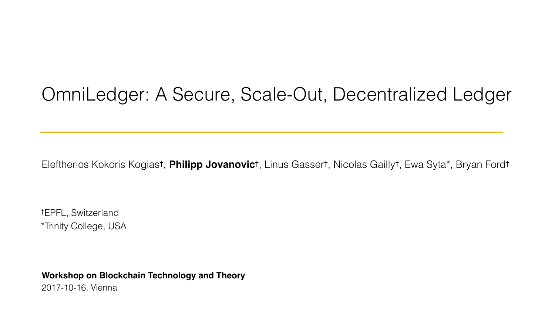## OmniLedger: A Secure, Scale-Out, Decentralized Ledger

Eleftherios Kokoris Kogias† , **Philipp Jovanovic**†, Linus Gasser†, Nicolas Gailly†, Ewa Syta\*, Bryan Ford†

**Workshop on Blockchain Technology and Theory** 2017-10-16, Vienna

†EPFL, Switzerland \*Trinity College, USA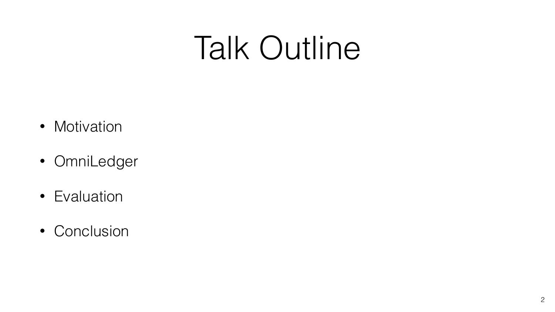- Motivation
- OmniLedger
- Evaluation
- Conclusion

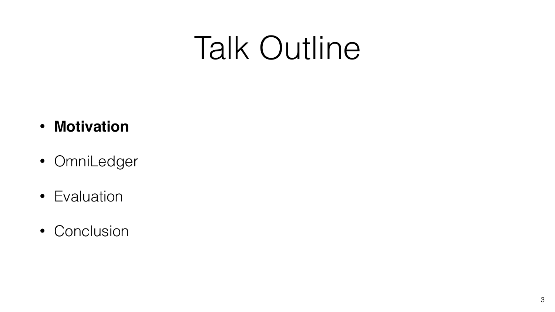## • **Motivation**

- OmniLedger
- Evaluation
- Conclusion

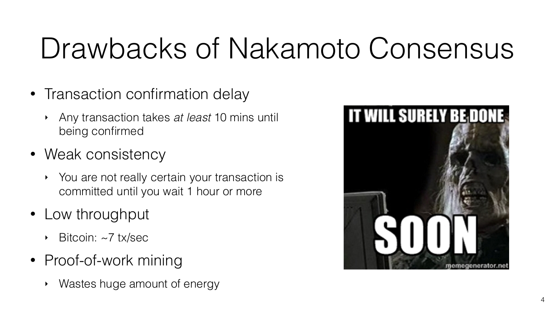## Drawbacks of Nakamoto Consensus

- Transaction confirmation delay
	- ‣ Any transaction takes *at least* 10 mins until being confirmed
- Weak consistency
	- ‣ You are not really certain your transaction is committed until you wait 1 hour or more
- Low throughput
	- Bitcoin: ~7 tx/sec
- Proof-of-work mining
	- Wastes huge amount of energy



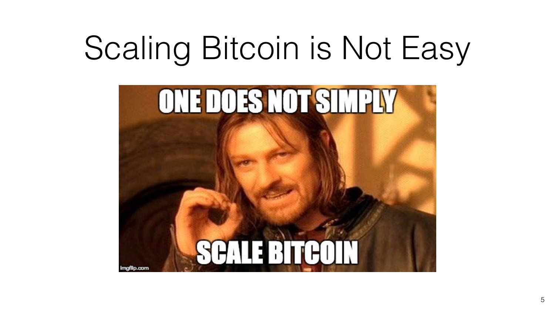# Scaling Bitcoin is Not Easy



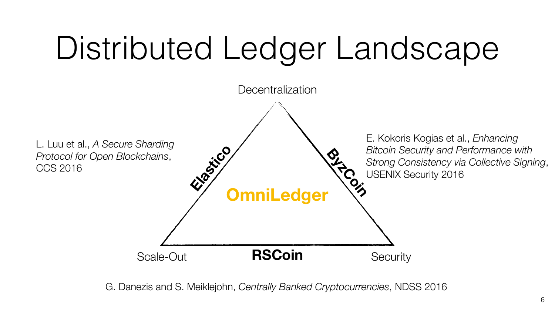# Distributed Ledger Landscape



**ByzCoin** E. Kokoris Kogias et al., *Enhancing Bitcoin Security and Performance with Strong Consistency via Collective Signing*, USENIX Security 2016





L. Luu et al., *A Secure Sharding Protocol for Open Blockchains*, CCS 2016

G. Danezis and S. Meiklejohn, *Centrally Banked Cryptocurrencies*, NDSS 2016

#### **Decentralization**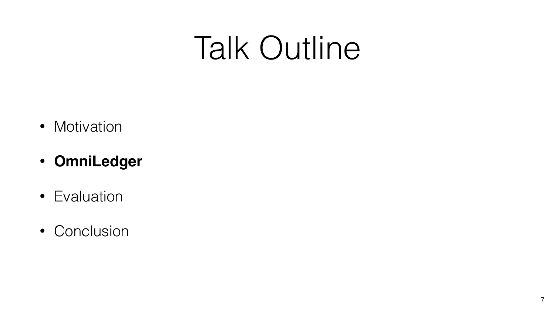- Motivation
- **OmniLedger**
- Evaluation
- Conclusion

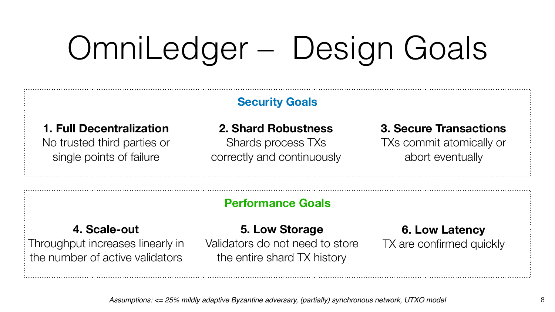# OmniLedger – Design Goals



#### **1. Full Decentralization**

No trusted third parties or single points of failure

**2. Shard Robustness**  Shards process TXs correctly and continuously

#### **3. Secure Transactions**  TXs commit atomically or abort eventually

#### **Security Goals**

#### **4. Scale-out**

Throughput increases linearly in the number of active validators

**5. Low Storage**  Validators do not need to store the entire shard TX history

#### **6. Low Latency**  TX are confirmed quickly

| í<br>I<br>i<br>r<br>i<br>ľ<br>i<br>i<br>i<br>i<br>i<br>i<br>i<br>i<br>i<br>i<br>i<br>i<br>i<br>п<br>п<br>п<br>п<br>п<br>п<br>п<br>i<br>i<br>i<br>i<br>i<br>i<br>i<br>п<br>F<br>F<br>F<br>I |  |
|--------------------------------------------------------------------------------------------------------------------------------------------------------------------------------------------|--|

#### **Performance Goals**

*Assumptions: <= 25% mildly adaptive Byzantine adversary, (partially) synchronous network, UTXO model*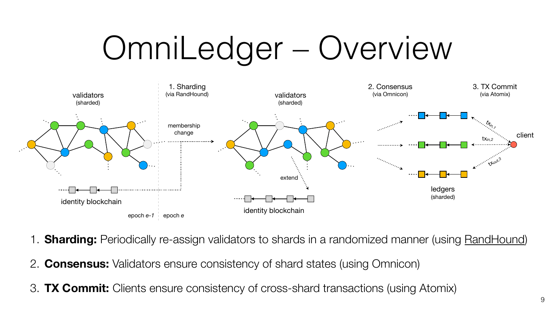



1. **Sharding:** Periodically re-assign validators to shards in a randomized manner (using [RandHound\)](https://eprint.iacr.org/2016/1067)



- 
- 2. **Consensus:** Validators ensure consistency of shard states (using Omnicon)
- 3. **TX Commit:** Clients ensure consistency of cross-shard transactions (using Atomix)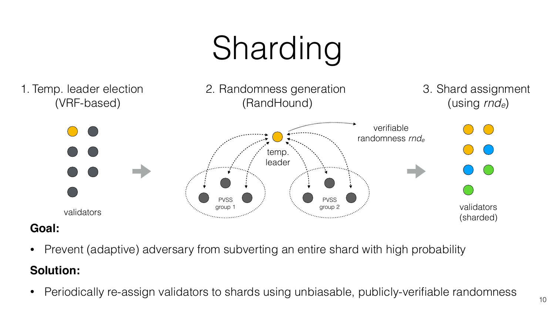10





- Prevent (adaptive) adversary from subverting an entire shard with high probability **Solution:**
- 

• Periodically re-assign validators to shards using unbiasable, publicly-verifiable randomness

![](_page_9_Picture_6.jpeg)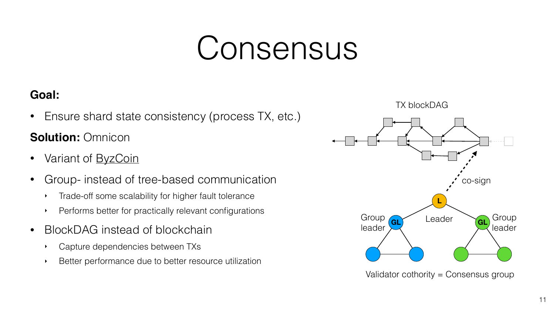# Consensus

11

### **Goal:**

• Ensure shard state consistency (process TX, etc.)

### **Solution: Omnicon**

- Variant of [ByzCoin](https://www.usenix.org/system/files/conference/usenixsecurity16/sec16_paper_kokoris-kogias.pdf)
- Group- instead of tree-based communication
	- ‣ Trade-off some scalability for higher fault tolerance
	- ‣ Performs better for practically relevant configurations
- BlockDAG instead of blockchain
	- ‣ Capture dependencies between TXs
	- Better performance due to better resource utilization

![](_page_10_Figure_11.jpeg)

Validator cothority = Consensus group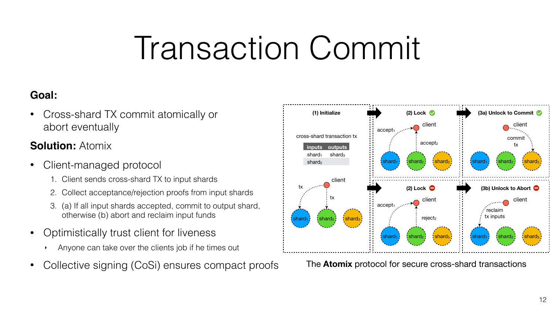# Transaction Commit

![](_page_11_Figure_11.jpeg)

![](_page_11_Figure_13.jpeg)

#### **Goal:**

• Cross-shard TX commit atomically or abort eventually

#### **Solution: Atomix**

- Client-managed protocol
	- 1. Client sends cross-shard TX to input shards
	- 2. Collect acceptance/rejection proofs from input shards
	- 3. (a) If all input shards accepted, commit to output shard, otherwise (b) abort and reclaim input funds
- Optimistically trust client for liveness
	- ‣ Anyone can take over the clients job if he times out
- Collective signing (CoSi) ensures compact proofs The **Atomix** protocol for secure cross-shard transactions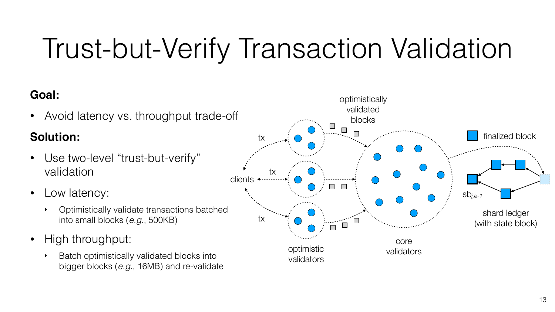## Trust-but-Verify Transaction Validation

![](_page_12_Picture_10.jpeg)

![](_page_12_Figure_9.jpeg)

### **Goal:**

• Avoid latency vs. throughput trade-off

### **Solution:**

- Use two-level "trust-but-verify" validation
- Low latency:
	- ‣ Optimistically validate transactions batched into small blocks (*e.g.*, 500KB)
- High throughput:
	- ‣ Batch optimistically validated blocks into bigger blocks (*e.g.*, 16MB) and re-validate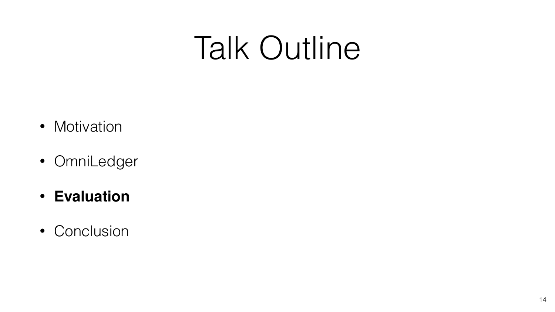- Motivation
- OmniLedger
- **Evaluation**
- Conclusion

14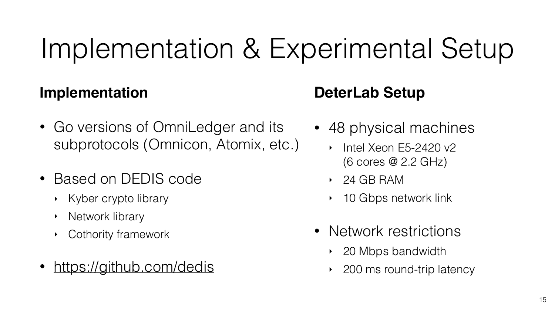## Implementation & Experimental Setup

### **Implementation**

- Go versions of OmniLedger and its subprotocols (Omnicon, Atomix, etc.) • 48 physical machines ‣ Intel Xeon E5-2420 v2
- Based on DEDIS code
	- ‣ Kyber crypto library
	- ‣ Network library
	- ‣ Cothority framework
- <https://github.com/dedis>

![](_page_14_Picture_15.jpeg)

## **DeterLab Setup**

- (6 cores @ 2.2 GHz)
- ‣ 24 GB RAM
- 10 Gbps network link
- Network restrictions
	- 20 Mbps bandwidth
	- ‣ 200 ms round-trip latency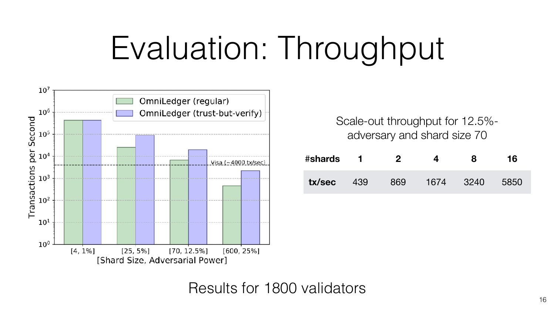# Evaluation: Throughput

![](_page_15_Figure_1.jpeg)

### Results for 1800 validators

![](_page_15_Picture_6.jpeg)

16

| #shards |     |     |      |      | 16   |
|---------|-----|-----|------|------|------|
| tx/sec  | 439 | 869 | 1674 | 3240 | 5850 |

Scale-out throughput for 12.5% adversary and shard size 70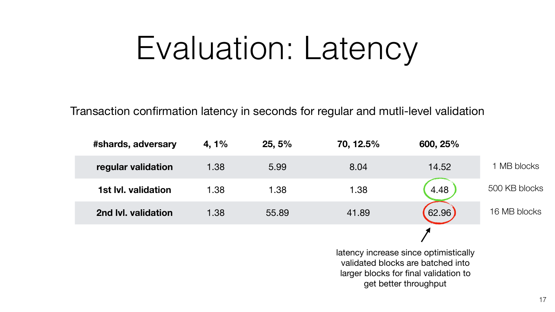# Evaluation: Latency

17

| #shards, adversary         | 4, 1% | 25,5% | 70, 12.5%                                                                                                                                    | 600, 25% |         |
|----------------------------|-------|-------|----------------------------------------------------------------------------------------------------------------------------------------------|----------|---------|
| regular validation         | 1.38  | 5.99  | 8.04                                                                                                                                         | 14.52    | 1 MB bl |
| <b>1st Ivl. validation</b> | 1.38  | 1.38  | 1.38                                                                                                                                         | 4.48     | 500 KB  |
| 2nd Ivl. validation        | 1.38  | 55.89 | 41.89                                                                                                                                        | 62.96    | 16 MB b |
|                            |       |       |                                                                                                                                              |          |         |
|                            |       |       | latency increase since optimistically<br>validated blocks are batched into<br>larger blocks for final validation to<br>get better throughput |          |         |

Transaction confirmation latency in seconds for regular and mutli-level validation

![](_page_16_Figure_4.jpeg)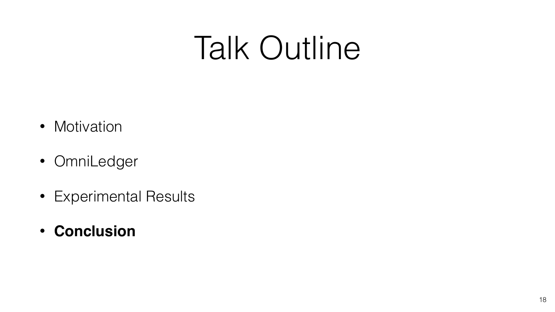- Motivation
- OmniLedger
- Experimental Results
- **Conclusion**

![](_page_17_Picture_6.jpeg)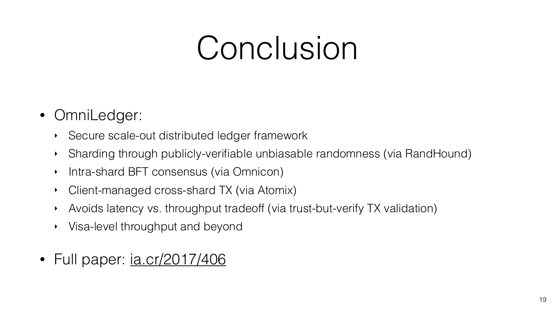# Conclusion

- OmniLedger:
	- ‣ Secure scale-out distributed ledger framework
	-
	- ‣ Sharding through publicly-verifiable unbiasable randomness (via RandHound) ‣ Intra-shard BFT consensus (via Omnicon)
	- ‣ Client-managed cross-shard TX (via Atomix)
	- ‣ Avoids latency vs. throughput tradeoff (via trust-but-verify TX validation)
	- ‣ Visa-level throughput and beyond
- Full paper: [ia.cr/2017/406](https://ia.cr/2017/406)

![](_page_18_Picture_9.jpeg)